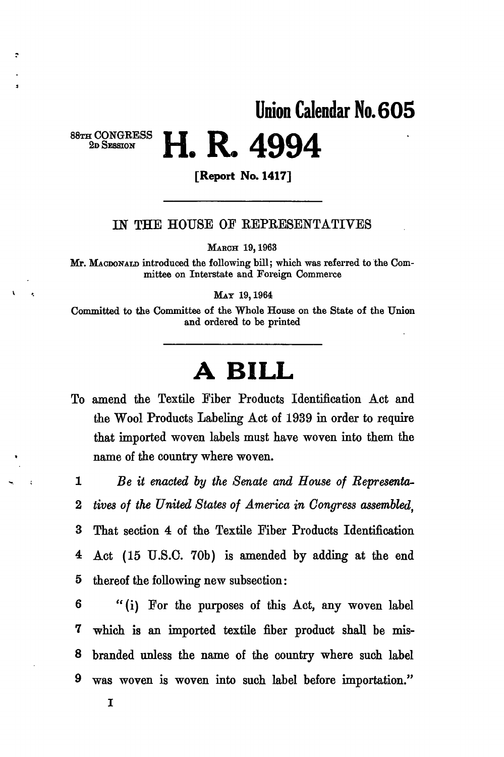## **Union Calendar No. 605**

# **H. R. 4994**

88TH CONGRESS **2D** SESSION

**[Report No. 1417]** 

#### IN THE HOUSE OF REPRESENTATIVES

MARCH 19,1963

Mr. MACDONALD introduced the following bill; which was referred to the Committee on Interstate and Foreign Commerce

MAT 19,1964

Committed to the Committee of the Whole House on the State of the Union and ordered to be printed

## **A BILL**

To amend the Textile Fiber Products Identification Act and the Wool Products Labeling Act of 1939 in order to require that imported woven labels must have woven into them the name of the country where woven.

1 *Be it enacted by the Senate and House of Representa-*2 *tives of the United States of America in Congress assembled,*  3 That section 4 of the Textile Fiber Products Identification 4 Act (15 U.S.O. 70b) is amended by adding at the end 5 thereof the following new subsection:

6 " (i) For the purposes of this Act, any woven label 7 which is an imported textile fiber product shall be mis-8 branded unless the name of the country where such label 9 was woven is woven into such label before importation."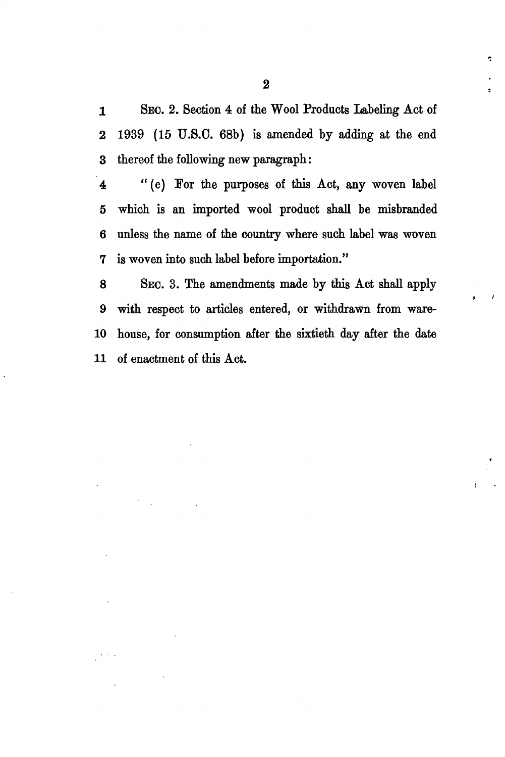1 SEO. 2. Section 4 of the Wool Products Labeling Act of 2 1939 (15 U.S.O. 68b) is amended by adding at the end 3 thereof the following new paragraph:

4 "(e) For the purposes of this Act, any woven label 5 which is an imported wool product shall be misbranded 6 unless the name of the country where such label was woven 7 is woven into such label before importation."

8 SEC. 3. The amendments made by this Act shall apply 9 with respect to articles entered, or withdrawn from ware-10 house, for consumption after the sixtieth day after the date 11 of enactment of this Act.

è